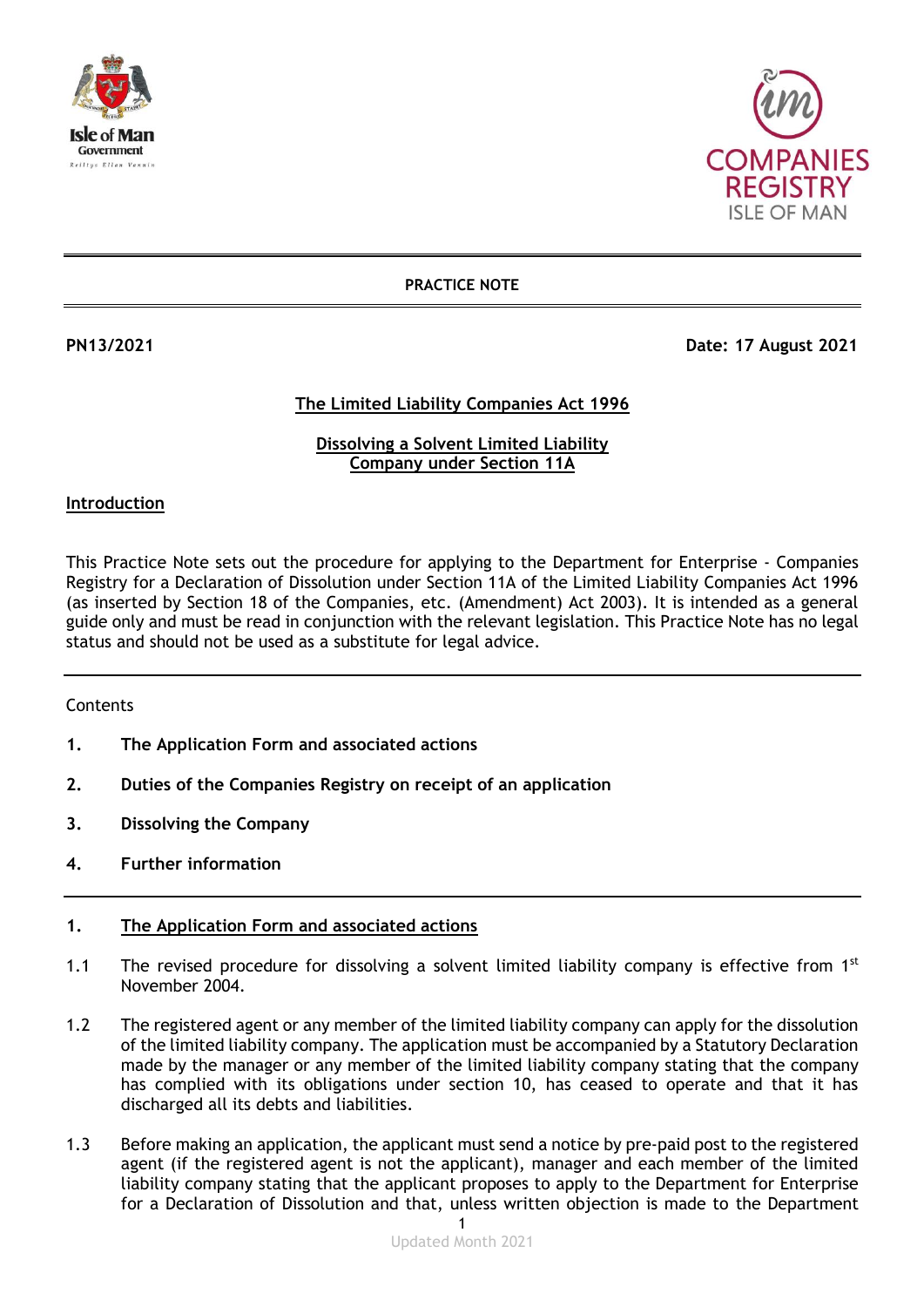



**PRACTICE NOTE**

**PN13/2021 Date: 17 August 2021**

### **The Limited Liability Companies Act 1996**

### **Dissolving a Solvent Limited Liability Company under Section 11A**

### **Introduction**

This Practice Note sets out the procedure for applying to the Department for Enterprise - Companies Registry for a Declaration of Dissolution under Section 11A of the Limited Liability Companies Act 1996 (as inserted by Section 18 of the Companies, etc. (Amendment) Act 2003). It is intended as a general guide only and must be read in conjunction with the relevant legislation. This Practice Note has no legal status and should not be used as a substitute for legal advice.

### Contents

- **1. The Application Form and associated actions**
- **2. Duties of the Companies Registry on receipt of an application**
- **3. Dissolving the Company**
- **4. Further information**

### **1. The Application Form and associated actions**

- 1.1 The revised procedure for dissolving a solvent limited liability company is effective from  $1<sup>st</sup>$ November 2004.
- 1.2 The registered agent or any member of the limited liability company can apply for the dissolution of the limited liability company. The application must be accompanied by a Statutory Declaration made by the manager or any member of the limited liability company stating that the company has complied with its obligations under section 10, has ceased to operate and that it has discharged all its debts and liabilities.
- 1.3 Before making an application, the applicant must send a notice by pre-paid post to the registered agent (if the registered agent is not the applicant), manager and each member of the limited liability company stating that the applicant proposes to apply to the Department for Enterprise for a Declaration of Dissolution and that, unless written objection is made to the Department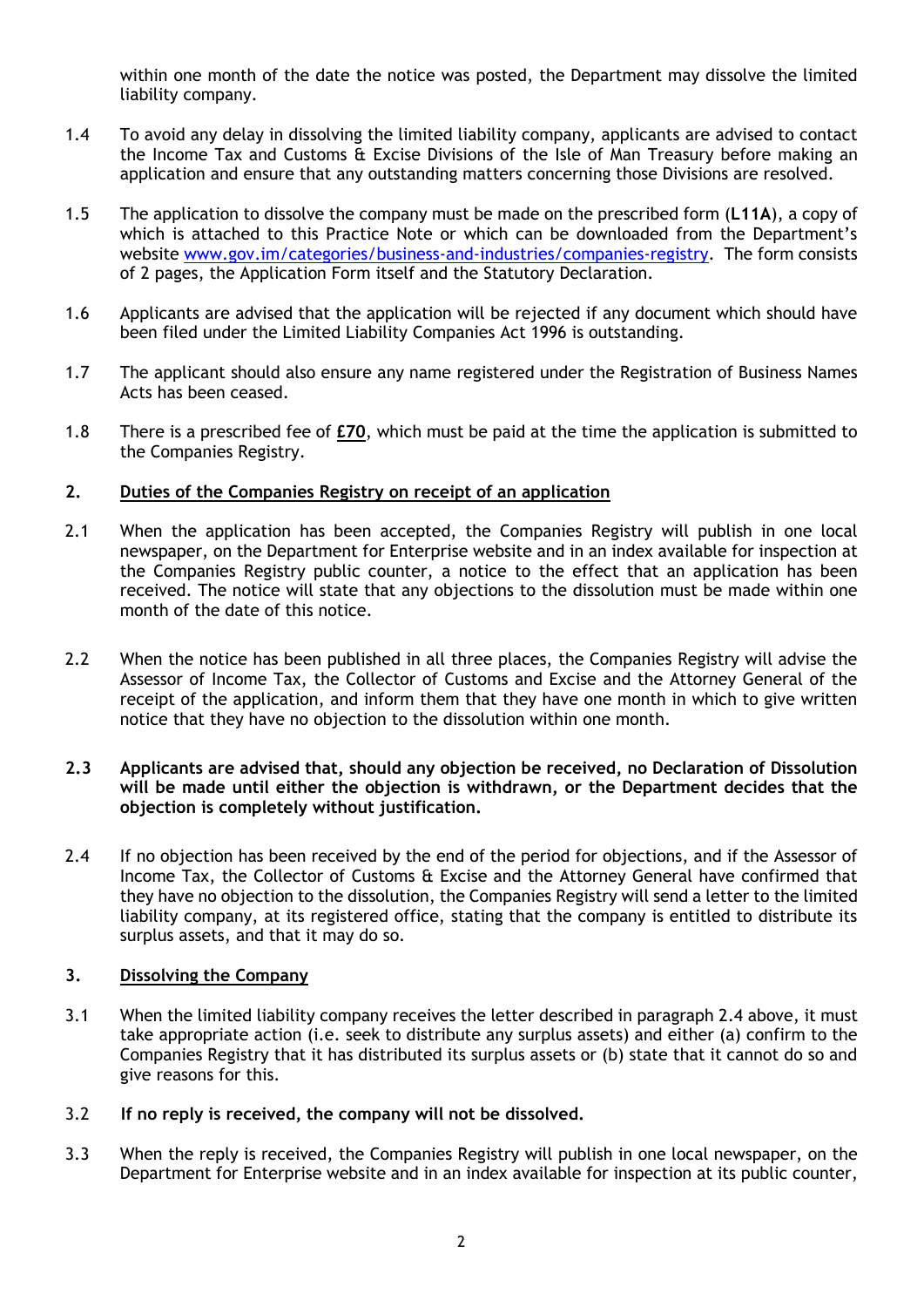within one month of the date the notice was posted, the Department may dissolve the limited liability company.

- 1.4 To avoid any delay in dissolving the limited liability company, applicants are advised to contact the Income Tax and Customs & Excise Divisions of the Isle of Man Treasury before making an application and ensure that any outstanding matters concerning those Divisions are resolved.
- 1.5 The application to dissolve the company must be made on the prescribed form (**L11A**), a copy of which is attached to this Practice Note or which can be downloaded from the Department's website [www.gov.im/categories/business-and-industries/companies-registry.](http://www.gov.im/categories/business-and-industries/companies-registry) The form consists of 2 pages, the Application Form itself and the Statutory Declaration.
- 1.6 Applicants are advised that the application will be rejected if any document which should have been filed under the Limited Liability Companies Act 1996 is outstanding.
- 1.7 The applicant should also ensure any name registered under the Registration of Business Names Acts has been ceased.
- 1.8 There is a prescribed fee of **£70**, which must be paid at the time the application is submitted to the Companies Registry.

### **2. Duties of the Companies Registry on receipt of an application**

- 2.1 When the application has been accepted, the Companies Registry will publish in one local newspaper, on the Department for Enterprise website and in an index available for inspection at the Companies Registry public counter, a notice to the effect that an application has been received. The notice will state that any objections to the dissolution must be made within one month of the date of this notice.
- 2.2 When the notice has been published in all three places, the Companies Registry will advise the Assessor of Income Tax, the Collector of Customs and Excise and the Attorney General of the receipt of the application, and inform them that they have one month in which to give written notice that they have no objection to the dissolution within one month.

### **2.3 Applicants are advised that, should any objection be received, no Declaration of Dissolution will be made until either the objection is withdrawn, or the Department decides that the objection is completely without justification.**

2.4 If no objection has been received by the end of the period for objections, and if the Assessor of Income Tax, the Collector of Customs & Excise and the Attorney General have confirmed that they have no objection to the dissolution, the Companies Registry will send a letter to the limited liability company, at its registered office, stating that the company is entitled to distribute its surplus assets, and that it may do so.

### **3. Dissolving the Company**

- 3.1 When the limited liability company receives the letter described in paragraph 2.4 above, it must take appropriate action (i.e. seek to distribute any surplus assets) and either (a) confirm to the Companies Registry that it has distributed its surplus assets or (b) state that it cannot do so and give reasons for this.
- 3.2 **If no reply is received, the company will not be dissolved.**
- 3.3 When the reply is received, the Companies Registry will publish in one local newspaper, on the Department for Enterprise website and in an index available for inspection at its public counter,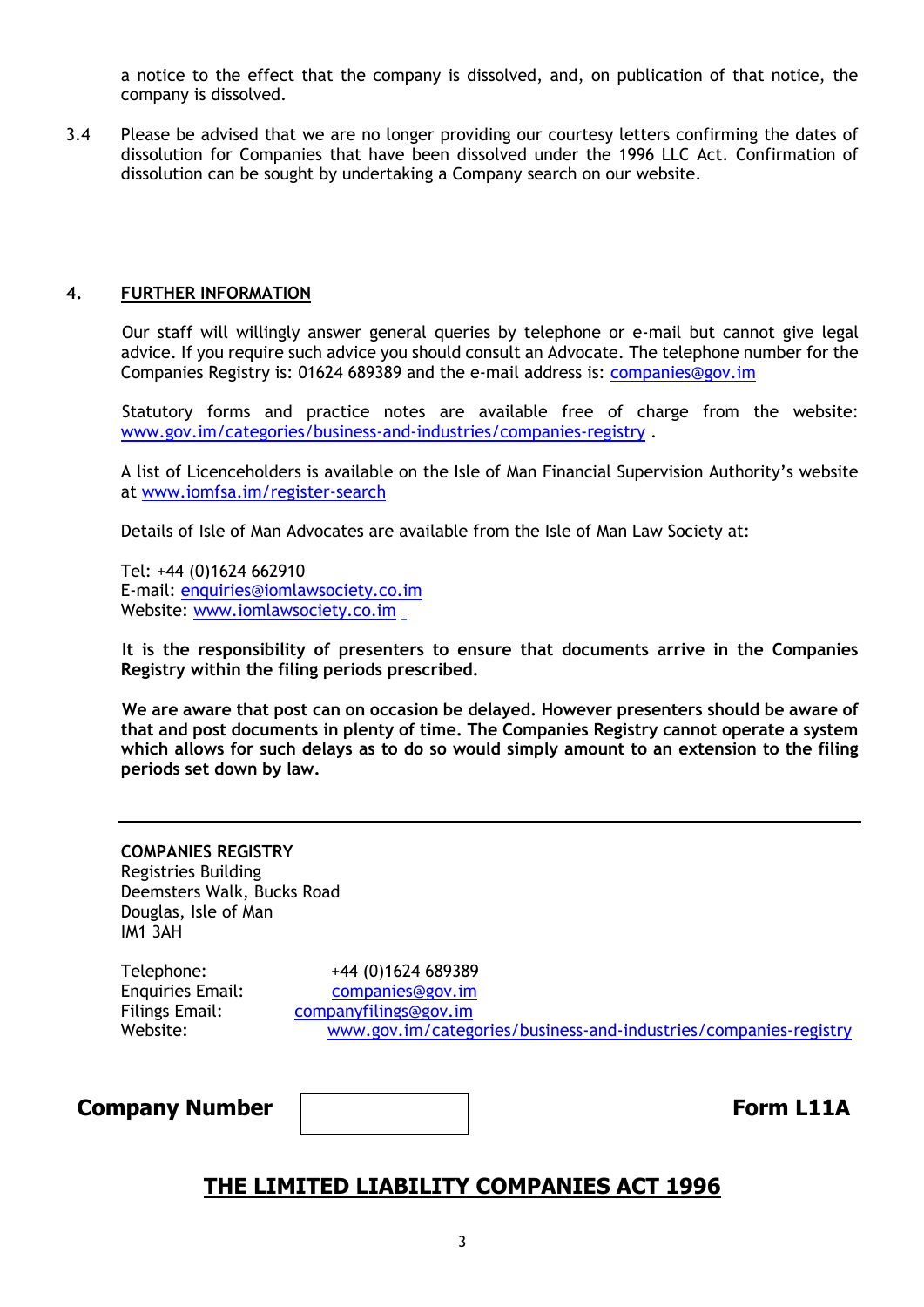a notice to the effect that the company is dissolved, and, on publication of that notice, the company is dissolved.

3.4 Please be advised that we are no longer providing our courtesy letters confirming the dates of dissolution for Companies that have been dissolved under the 1996 LLC Act. Confirmation of dissolution can be sought by undertaking a Company search on our website.

### **4. FURTHER INFORMATION**

Our staff will willingly answer general queries by telephone or e-mail but cannot give legal advice. If you require such advice you should consult an Advocate. The telephone number for the Companies Registry is: 01624 689389 and the e-mail address is: [companies@gov.im](mailto:companies.registry@gov.im)

Statutory forms and practice notes are available free of charge from the website: [www.gov.im/categories/business-and-industries/companies-registry](http://www.gov.im/categories/business-and-industries/companies-registry) .

A list of Licenceholders is available on the Isle of Man Financial Supervision Authority's website at [www.iomfsa.im/register-search](http://www.iomfsa.im/register-search) 

Details of Isle of Man Advocates are available from the Isle of Man Law Society at:

Tel: +44 (0)1624 662910 E-mail: [enquiries@iomlawsociety.co.im](mailto:enquiries@iomlawsociety.co.im) Website: [www.iomlawsociety.co.im](http://www.iomlawsociety.co.im/)

**It is the responsibility of presenters to ensure that documents arrive in the Companies Registry within the filing periods prescribed.**

**We are aware that post can on occasion be delayed. However presenters should be aware of that and post documents in plenty of time. The Companies Registry cannot operate a system which allows for such delays as to do so would simply amount to an extension to the filing periods set down by law.**

| <b>COMPANIES REGISTRY</b>  |
|----------------------------|
| Registries Building        |
| Deemsters Walk, Bucks Road |
| Douglas, Isle of Man       |
| IM1 3AH                    |

Telephone: +44 (0)1624 689389 Enquiries Email: [companies@gov.im](mailto:companies@gov.im) Filings Email: [companyfilings@gov.im](mailto:companyfilings@gov.im) Website: [www.gov.im/categories/business-and-industries/companies-registry](http://www.gov.im/categories/business-and-industries/companies-registry)

**Company Number**  $\vert$  **Form L11A** 

# **THE LIMITED LIABILITY COMPANIES ACT 1996**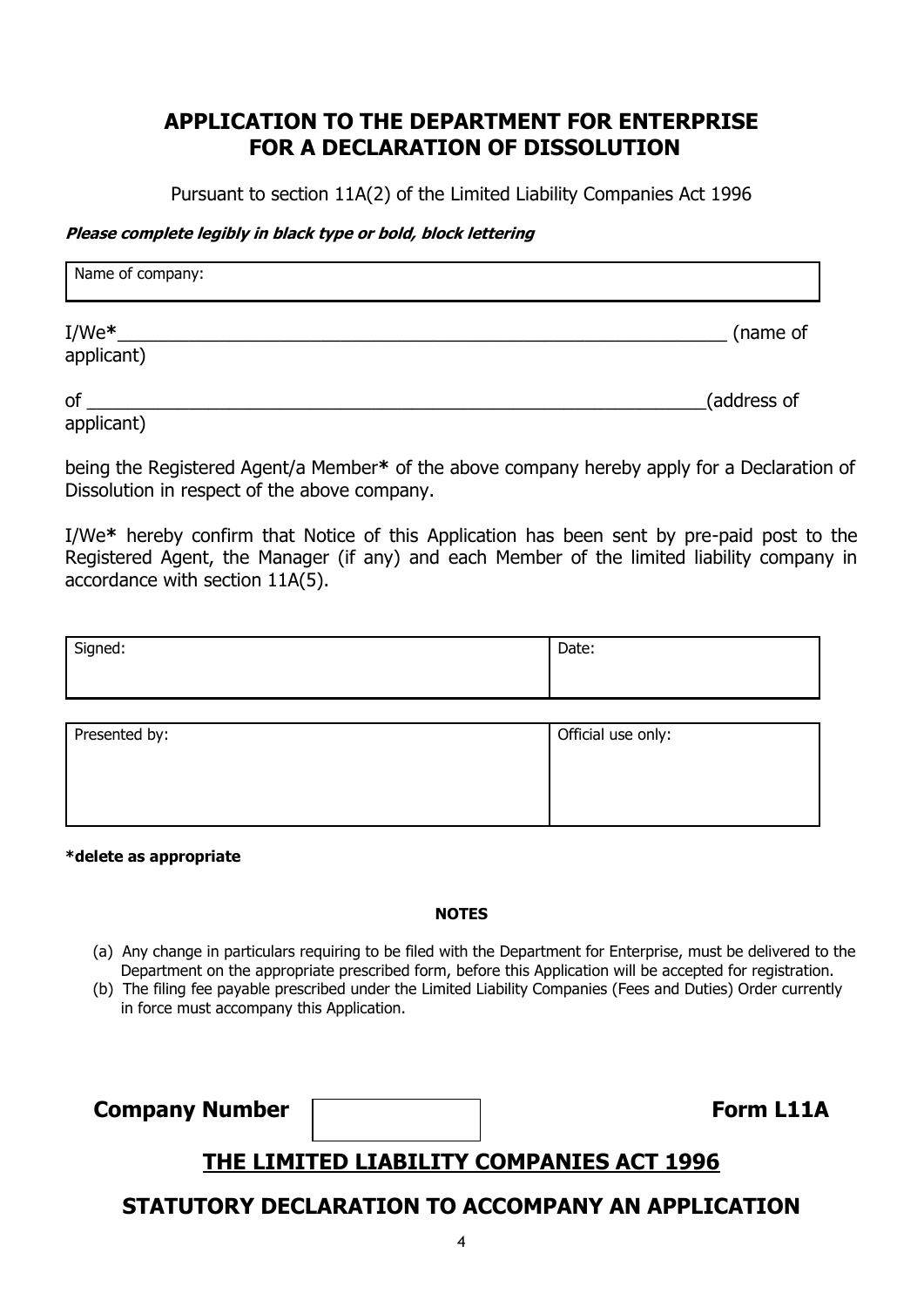# **APPLICATION TO THE DEPARTMENT FOR ENTERPRISE FOR A DECLARATION OF DISSOLUTION**

Pursuant to section 11A(2) of the Limited Liability Companies Act 1996

### **Please complete legibly in black type or bold, block lettering**

| Name of company:       |             |
|------------------------|-------------|
| $I/We^*$<br>applicant) | (name of    |
| of                     | (address of |

applicant)

being the Registered Agent/a Member**\*** of the above company hereby apply for a Declaration of Dissolution in respect of the above company.

I/We**\*** hereby confirm that Notice of this Application has been sent by pre-paid post to the Registered Agent, the Manager (if any) and each Member of the limited liability company in accordance with section 11A(5).

| Signed:       | Date:              |
|---------------|--------------------|
|               |                    |
| Presented by: | Official use only: |

**\*delete as appropriate**

#### **NOTES**

- (a) Any change in particulars requiring to be filed with the Department for Enterprise, must be delivered to the Department on the appropriate prescribed form, before this Application will be accepted for registration.
- (b) The filing fee payable prescribed under the Limited Liability Companies (Fees and Duties) Order currently in force must accompany this Application.

**Company Number Form L11A** 

# **THE LIMITED LIABILITY COMPANIES ACT 1996**

# **STATUTORY DECLARATION TO ACCOMPANY AN APPLICATION**